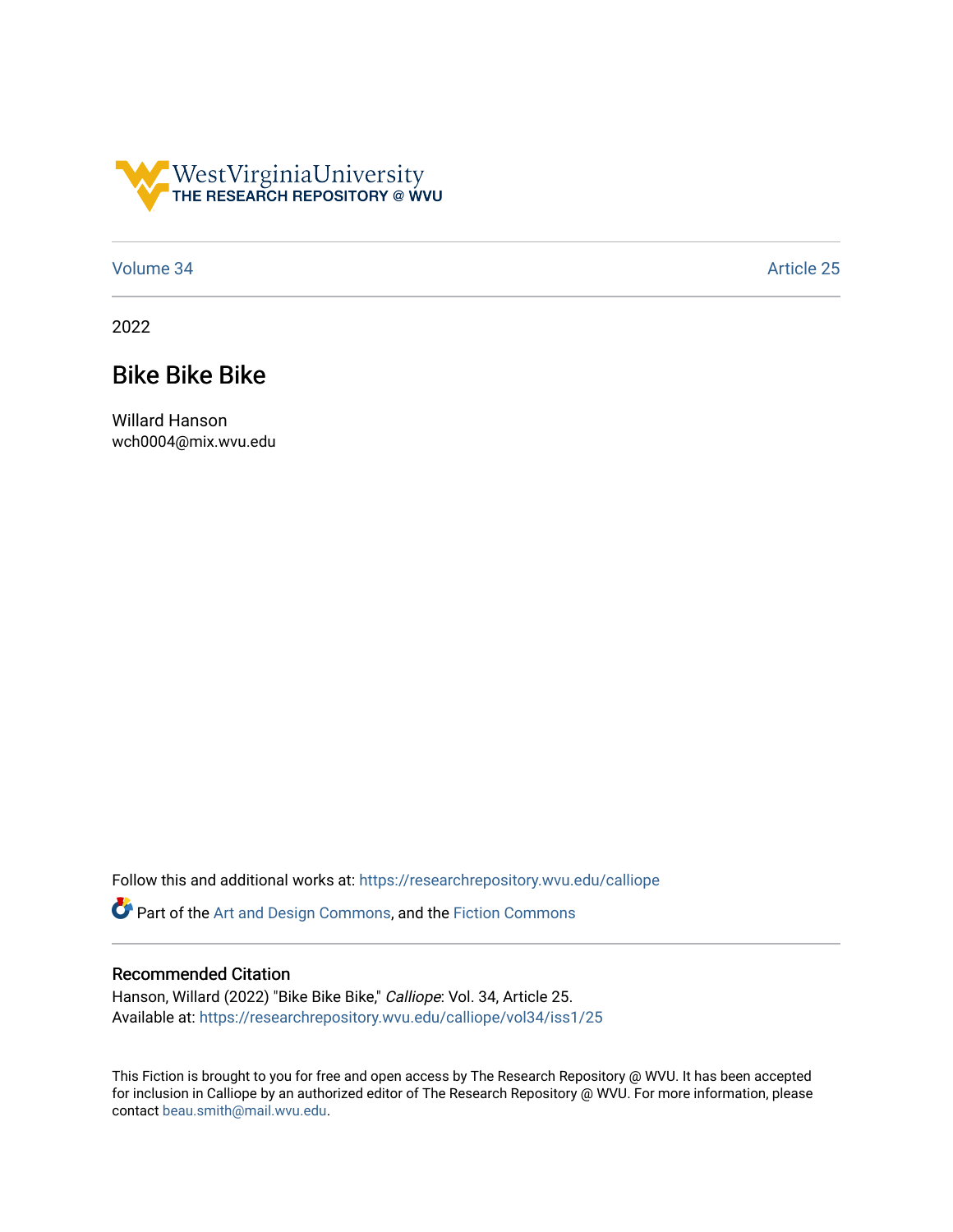

## [Volume 34](https://researchrepository.wvu.edu/calliope/vol34) Article 25

2022

## Bike Bike Bike

Willard Hanson wch0004@mix.wvu.edu

Follow this and additional works at: [https://researchrepository.wvu.edu/calliope](https://researchrepository.wvu.edu/calliope?utm_source=researchrepository.wvu.edu%2Fcalliope%2Fvol34%2Fiss1%2F25&utm_medium=PDF&utm_campaign=PDFCoverPages)

Part of the [Art and Design Commons](http://network.bepress.com/hgg/discipline/1049?utm_source=researchrepository.wvu.edu%2Fcalliope%2Fvol34%2Fiss1%2F25&utm_medium=PDF&utm_campaign=PDFCoverPages), and the [Fiction Commons](http://network.bepress.com/hgg/discipline/1151?utm_source=researchrepository.wvu.edu%2Fcalliope%2Fvol34%2Fiss1%2F25&utm_medium=PDF&utm_campaign=PDFCoverPages)

## Recommended Citation

Hanson, Willard (2022) "Bike Bike Bike," Calliope: Vol. 34, Article 25. Available at: [https://researchrepository.wvu.edu/calliope/vol34/iss1/25](https://researchrepository.wvu.edu/calliope/vol34/iss1/25?utm_source=researchrepository.wvu.edu%2Fcalliope%2Fvol34%2Fiss1%2F25&utm_medium=PDF&utm_campaign=PDFCoverPages)

This Fiction is brought to you for free and open access by The Research Repository @ WVU. It has been accepted for inclusion in Calliope by an authorized editor of The Research Repository @ WVU. For more information, please contact [beau.smith@mail.wvu.edu](mailto:beau.smith@mail.wvu.edu).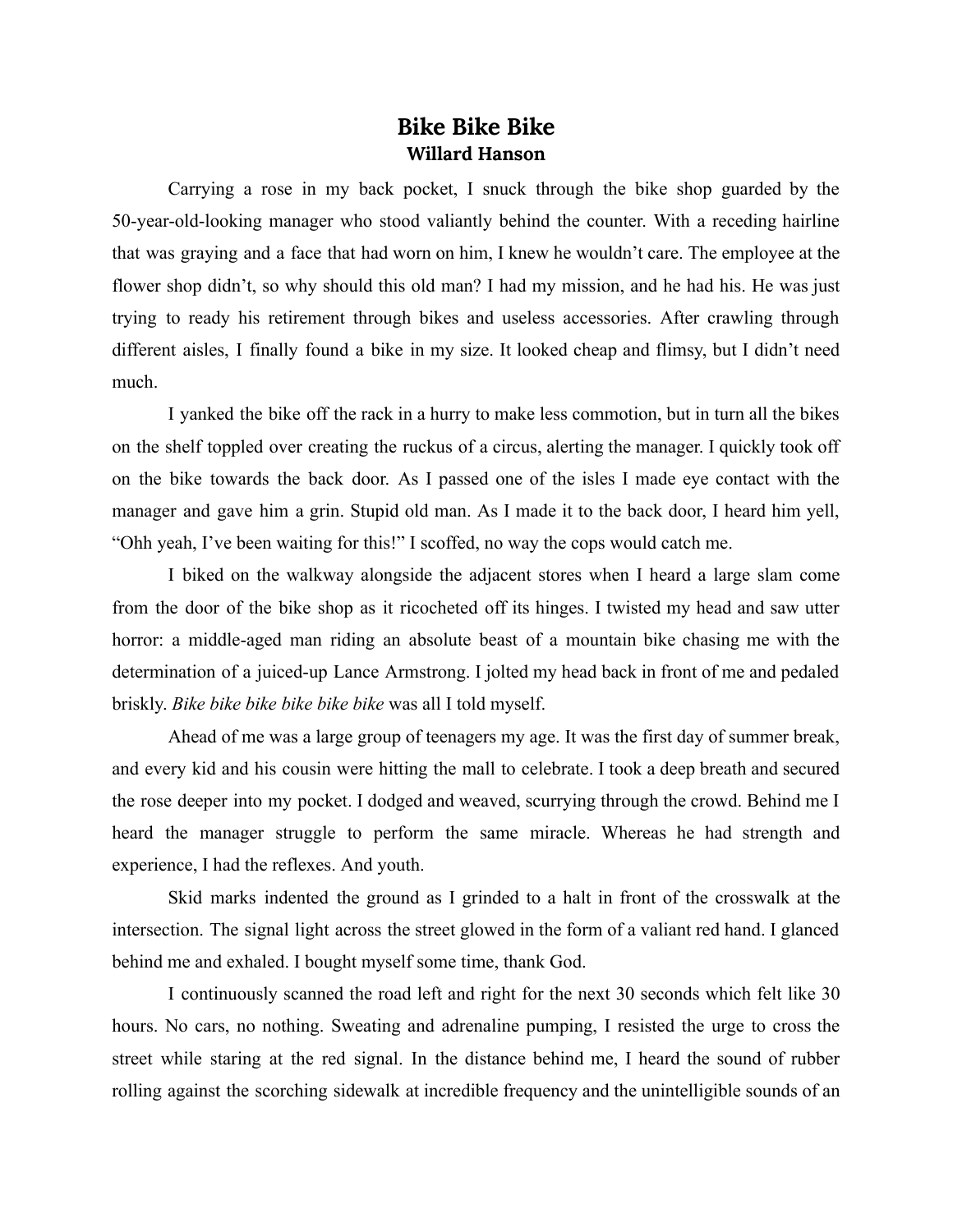## **Bike Bike Bike Willard Hanson**

Carrying a rose in my back pocket, I snuck through the bike shop guarded by the 50-year-old-looking manager who stood valiantly behind the counter. With a receding hairline that was graying and a face that had worn on him, I knew he wouldn't care. The employee at the flower shop didn't, so why should this old man? I had my mission, and he had his. He was just trying to ready his retirement through bikes and useless accessories. After crawling through different aisles, I finally found a bike in my size. It looked cheap and flimsy, but I didn't need much.

I yanked the bike off the rack in a hurry to make less commotion, but in turn all the bikes on the shelf toppled over creating the ruckus of a circus, alerting the manager. I quickly took off on the bike towards the back door. As I passed one of the isles I made eye contact with the manager and gave him a grin. Stupid old man. As I made it to the back door, I heard him yell, "Ohh yeah, I've been waiting for this!" I scoffed, no way the cops would catch me.

I biked on the walkway alongside the adjacent stores when I heard a large slam come from the door of the bike shop as it ricocheted off its hinges. I twisted my head and saw utter horror: a middle-aged man riding an absolute beast of a mountain bike chasing me with the determination of a juiced-up Lance Armstrong. I jolted my head back in front of me and pedaled briskly. *Bike bike bike bike bike bike* was all I told myself.

Ahead of me was a large group of teenagers my age. It was the first day of summer break, and every kid and his cousin were hitting the mall to celebrate. I took a deep breath and secured the rose deeper into my pocket. I dodged and weaved, scurrying through the crowd. Behind me I heard the manager struggle to perform the same miracle. Whereas he had strength and experience, I had the reflexes. And youth.

Skid marks indented the ground as I grinded to a halt in front of the crosswalk at the intersection. The signal light across the street glowed in the form of a valiant red hand. I glanced behind me and exhaled. I bought myself some time, thank God.

I continuously scanned the road left and right for the next 30 seconds which felt like 30 hours. No cars, no nothing. Sweating and adrenaline pumping, I resisted the urge to cross the street while staring at the red signal. In the distance behind me, I heard the sound of rubber rolling against the scorching sidewalk at incredible frequency and the unintelligible sounds of an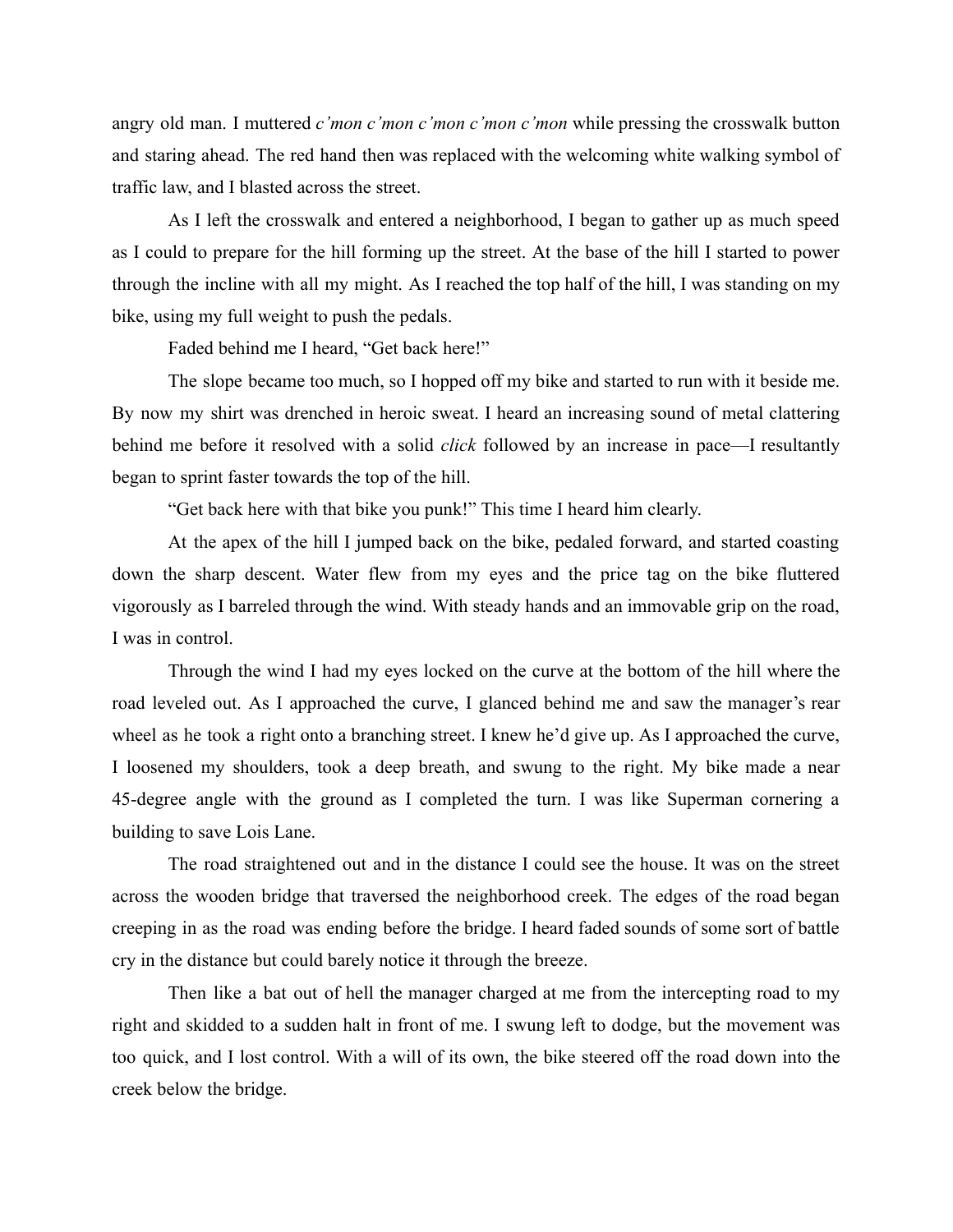angry old man. I muttered *c'mon c'mon c'mon c'mon c'mon* while pressing the crosswalk button and staring ahead. The red hand then was replaced with the welcoming white walking symbol of traffic law, and I blasted across the street.

As I left the crosswalk and entered a neighborhood, I began to gather up as much speed as I could to prepare for the hill forming up the street. At the base of the hill I started to power through the incline with all my might. As I reached the top half of the hill, I was standing on my bike, using my full weight to push the pedals.

Faded behind me I heard, "Get back here!"

The slope became too much, so I hopped off my bike and started to run with it beside me. By now my shirt was drenched in heroic sweat. I heard an increasing sound of metal clattering behind me before it resolved with a solid *click* followed by an increase in pace—I resultantly began to sprint faster towards the top of the hill.

"Get back here with that bike you punk!" This time I heard him clearly.

At the apex of the hill I jumped back on the bike, pedaled forward, and started coasting down the sharp descent. Water flew from my eyes and the price tag on the bike fluttered vigorously as I barreled through the wind. With steady hands and an immovable grip on the road, I was in control.

Through the wind I had my eyes locked on the curve at the bottom of the hill where the road leveled out. As I approached the curve, I glanced behind me and saw the manager's rear wheel as he took a right onto a branching street. I knew he'd give up. As I approached the curve, I loosened my shoulders, took a deep breath, and swung to the right. My bike made a near 45-degree angle with the ground as I completed the turn. I was like Superman cornering a building to save Lois Lane.

The road straightened out and in the distance I could see the house. It was on the street across the wooden bridge that traversed the neighborhood creek. The edges of the road began creeping in as the road was ending before the bridge. I heard faded sounds of some sort of battle cry in the distance but could barely notice it through the breeze.

Then like a bat out of hell the manager charged at me from the intercepting road to my right and skidded to a sudden halt in front of me. I swung left to dodge, but the movement was too quick, and I lost control. With a will of its own, the bike steered off the road down into the creek below the bridge.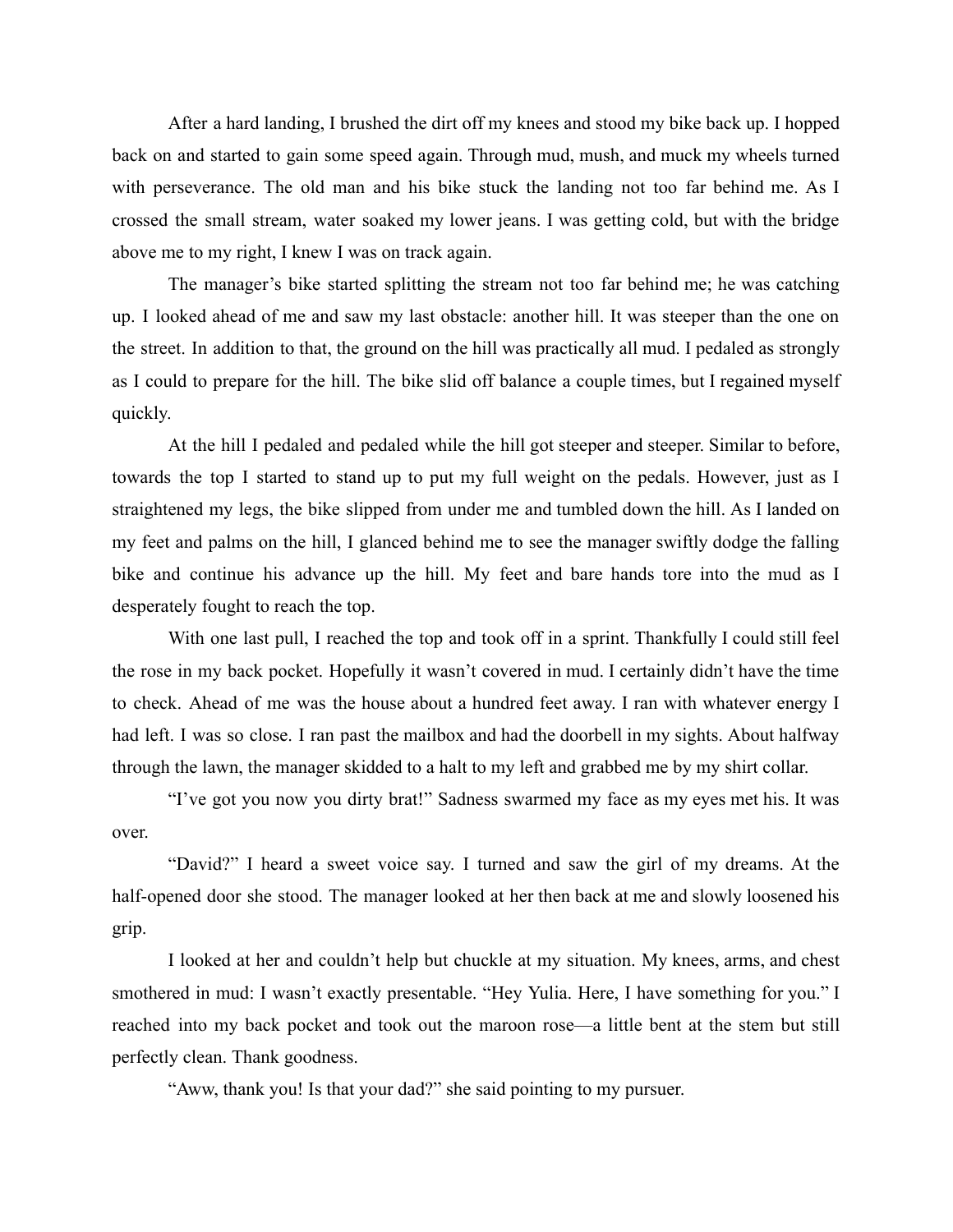After a hard landing, I brushed the dirt off my knees and stood my bike back up. I hopped back on and started to gain some speed again. Through mud, mush, and muck my wheels turned with perseverance. The old man and his bike stuck the landing not too far behind me. As I crossed the small stream, water soaked my lower jeans. I was getting cold, but with the bridge above me to my right, I knew I was on track again.

The manager's bike started splitting the stream not too far behind me; he was catching up. I looked ahead of me and saw my last obstacle: another hill. It was steeper than the one on the street. In addition to that, the ground on the hill was practically all mud. I pedaled as strongly as I could to prepare for the hill. The bike slid off balance a couple times, but I regained myself quickly.

At the hill I pedaled and pedaled while the hill got steeper and steeper. Similar to before, towards the top I started to stand up to put my full weight on the pedals. However, just as I straightened my legs, the bike slipped from under me and tumbled down the hill. As I landed on my feet and palms on the hill, I glanced behind me to see the manager swiftly dodge the falling bike and continue his advance up the hill. My feet and bare hands tore into the mud as I desperately fought to reach the top.

With one last pull, I reached the top and took off in a sprint. Thankfully I could still feel the rose in my back pocket. Hopefully it wasn't covered in mud. I certainly didn't have the time to check. Ahead of me was the house about a hundred feet away. I ran with whatever energy I had left. I was so close. I ran past the mailbox and had the doorbell in my sights. About halfway through the lawn, the manager skidded to a halt to my left and grabbed me by my shirt collar.

"I've got you now you dirty brat!" Sadness swarmed my face as my eyes met his. It was over.

"David?" I heard a sweet voice say. I turned and saw the girl of my dreams. At the half-opened door she stood. The manager looked at her then back at me and slowly loosened his grip.

I looked at her and couldn't help but chuckle at my situation. My knees, arms, and chest smothered in mud: I wasn't exactly presentable. "Hey Yulia. Here, I have something for you." I reached into my back pocket and took out the maroon rose—a little bent at the stem but still perfectly clean. Thank goodness.

"Aww, thank you! Is that your dad?" she said pointing to my pursuer.